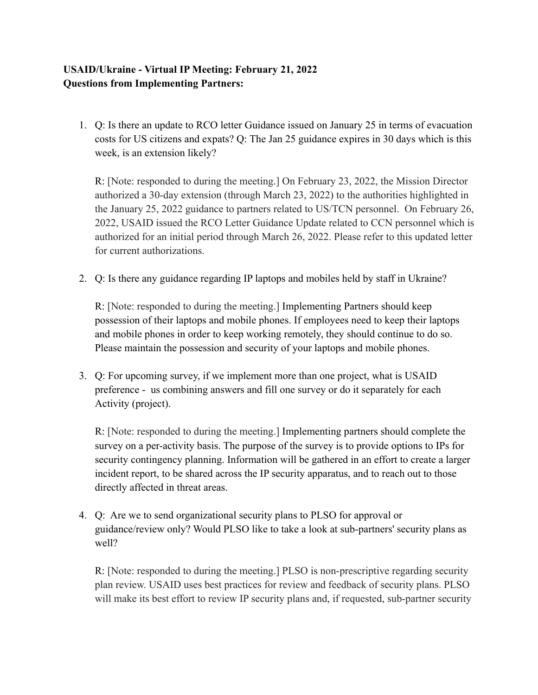## **USAID/Ukraine - Virtual IP Meeting: February 21, 2022 Questions from Implementing Partners:**

1. Q: Is there an update to RCO letter Guidance issued on January 25 in terms of evacuation costs for US citizens and expats? Q: The Jan 25 guidance expires in 30 days which is this week, is an extension likely?

R: [Note: responded to during the meeting.] On February 23, 2022, the Mission Director authorized a 30-day extension (through March 23, 2022) to the authorities highlighted in the January 25, 2022 guidance to partners related to US/TCN personnel. On February 26, 2022, USAID issued the RCO Letter Guidance Update related to CCN personnel which is authorized for an initial period through March 26, 2022. Please refer to this updated letter for current authorizations.

2. Q: Is there any guidance regarding IP laptops and mobiles held by staff in Ukraine?

R: [Note: responded to during the meeting.] Implementing Partners should keep possession of their laptops and mobile phones. If employees need to keep their laptops and mobile phones in order to keep working remotely, they should continue to do so. Please maintain the possession and security of your laptops and mobile phones.

3. Q: For upcoming survey, if we implement more than one project, what is USAID preference - us combining answers and fill one survey or do it separately for each Activity (project).

R: [Note: responded to during the meeting.] Implementing partners should complete the survey on a per-activity basis. The purpose of the survey is to provide options to IPs for security contingency planning. Information will be gathered in an effort to create a larger incident report, to be shared across the IP security apparatus, and to reach out to those directly affected in threat areas.

4. Q: Are we to send organizational security plans to PLSO for approval or guidance/review only? Would PLSO like to take a look at sub-partners' security plans as well?

R: [Note: responded to during the meeting.] PLSO is non-prescriptive regarding security plan review. USAID uses best practices for review and feedback of security plans. PLSO will make its best effort to review IP security plans and, if requested, sub-partner security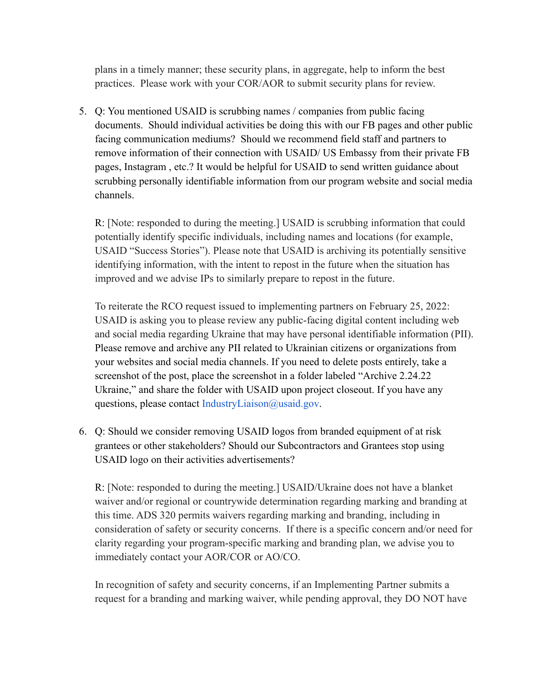plans in a timely manner; these security plans, in aggregate, help to inform the best practices. Please work with your COR/AOR to submit security plans for review.

5. Q: You mentioned USAID is scrubbing names / companies from public facing documents. Should individual activities be doing this with our FB pages and other public facing communication mediums? Should we recommend field staff and partners to remove information of their connection with USAID/ US Embassy from their private FB pages, Instagram , etc.? It would be helpful for USAID to send written guidance about scrubbing personally identifiable information from our program website and social media channels.

R: [Note: responded to during the meeting.] USAID is scrubbing information that could potentially identify specific individuals, including names and locations (for example, USAID "Success Stories"). Please note that USAID is archiving its potentially sensitive identifying information, with the intent to repost in the future when the situation has improved and we advise IPs to similarly prepare to repost in the future.

To reiterate the RCO request issued to implementing partners on February 25, 2022: USAID is asking you to please review any public-facing digital content including web and social media regarding Ukraine that may have personal identifiable information (PII). Please remove and archive any PII related to Ukrainian citizens or organizations from your websites and social media channels. If you need to delete posts entirely, take a screenshot of the post, place the screenshot in a folder labeled "Archive 2.24.22 Ukraine," and share the folder with USAID upon project closeout. If you have any questions, please contact IndustryLiaison@usaid.gov.

6. Q: Should we consider removing USAID logos from branded equipment of at risk grantees or other stakeholders? Should our Subcontractors and Grantees stop using USAID logo on their activities advertisements?

R: [Note: responded to during the meeting.] USAID/Ukraine does not have a blanket waiver and/or regional or countrywide determination regarding marking and branding at this time. ADS 320 permits waivers regarding marking and branding, including in consideration of safety or security concerns. If there is a specific concern and/or need for clarity regarding your program-specific marking and branding plan, we advise you to immediately contact your AOR/COR or AO/CO.

In recognition of safety and security concerns, if an Implementing Partner submits a request for a branding and marking waiver, while pending approval, they DO NOT have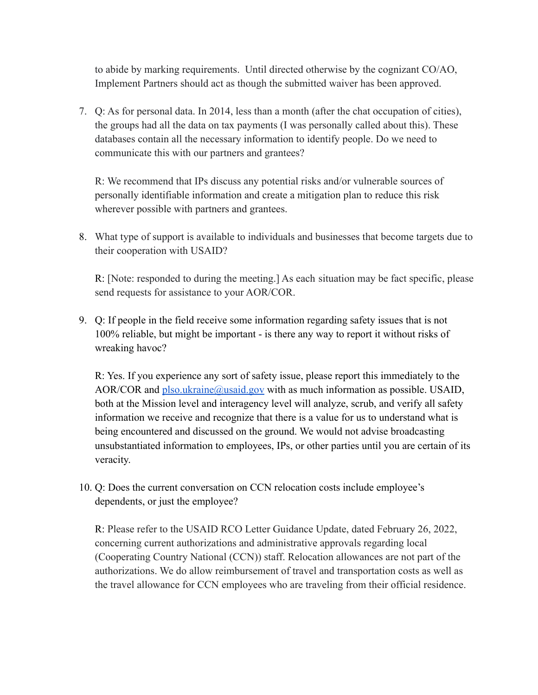to abide by marking requirements. Until directed otherwise by the cognizant CO/AO, Implement Partners should act as though the submitted waiver has been approved.

7. Q: As for personal data. In 2014, less than a month (after the chat occupation of cities), the groups had all the data on tax payments (I was personally called about this). These databases contain all the necessary information to identify people. Do we need to communicate this with our partners and grantees?

R: We recommend that IPs discuss any potential risks and/or vulnerable sources of personally identifiable information and create a mitigation plan to reduce this risk wherever possible with partners and grantees.

8. What type of support is available to individuals and businesses that become targets due to their cooperation with USAID?

R: [Note: responded to during the meeting.] As each situation may be fact specific, please send requests for assistance to your AOR/COR.

9. Q: If people in the field receive some information regarding safety issues that is not 100% reliable, but might be important - is there any way to report it without risks of wreaking havoc?

R: Yes. If you experience any sort of safety issue, please report this immediately to the AOR/COR and [plso.ukraine@usaid.gov](mailto:plso.ukraine@usaid.gov) with as much information as possible. USAID, both at the Mission level and interagency level will analyze, scrub, and verify all safety information we receive and recognize that there is a value for us to understand what is being encountered and discussed on the ground. We would not advise broadcasting unsubstantiated information to employees, IPs, or other parties until you are certain of its veracity.

10. Q: Does the current conversation on CCN relocation costs include employee's dependents, or just the employee?

R: Please refer to the USAID RCO Letter Guidance Update, dated February 26, 2022, concerning current authorizations and administrative approvals regarding local (Cooperating Country National (CCN)) staff. Relocation allowances are not part of the authorizations. We do allow reimbursement of travel and transportation costs as well as the travel allowance for CCN employees who are traveling from their official residence.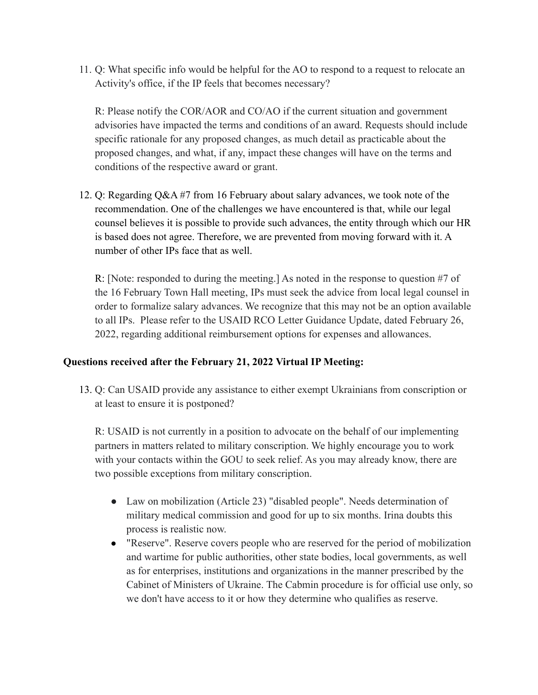11. Q: What specific info would be helpful for the AO to respond to a request to relocate an Activity's office, if the IP feels that becomes necessary?

R: Please notify the COR/AOR and CO/AO if the current situation and government advisories have impacted the terms and conditions of an award. Requests should include specific rationale for any proposed changes, as much detail as practicable about the proposed changes, and what, if any, impact these changes will have on the terms and conditions of the respective award or grant.

12. Q: Regarding Q&A #7 from 16 February about salary advances, we took note of the recommendation. One of the challenges we have encountered is that, while our legal counsel believes it is possible to provide such advances, the entity through which our HR is based does not agree. Therefore, we are prevented from moving forward with it. A number of other IPs face that as well.

R: [Note: responded to during the meeting.] As noted in the response to question #7 of the 16 February Town Hall meeting, IPs must seek the advice from local legal counsel in order to formalize salary advances. We recognize that this may not be an option available to all IPs. Please refer to the USAID RCO Letter Guidance Update, dated February 26, 2022, regarding additional reimbursement options for expenses and allowances.

## **Questions received after the February 21, 2022 Virtual IP Meeting:**

13. Q: Can USAID provide any assistance to either exempt Ukrainians from conscription or at least to ensure it is postponed?

R: USAID is not currently in a position to advocate on the behalf of our implementing partners in matters related to military conscription. We highly encourage you to work with your contacts within the GOU to seek relief. As you may already know, there are two possible exceptions from military conscription.

- Law on mobilization (Article 23) "disabled people". Needs determination of military medical commission and good for up to six months. Irina doubts this process is realistic now.
- "Reserve". Reserve covers people who are reserved for the period of mobilization and wartime for public authorities, other state bodies, local governments, as well as for enterprises, institutions and organizations in the manner prescribed by the Cabinet of Ministers of Ukraine. The Cabmin procedure is for official use only, so we don't have access to it or how they determine who qualifies as reserve.